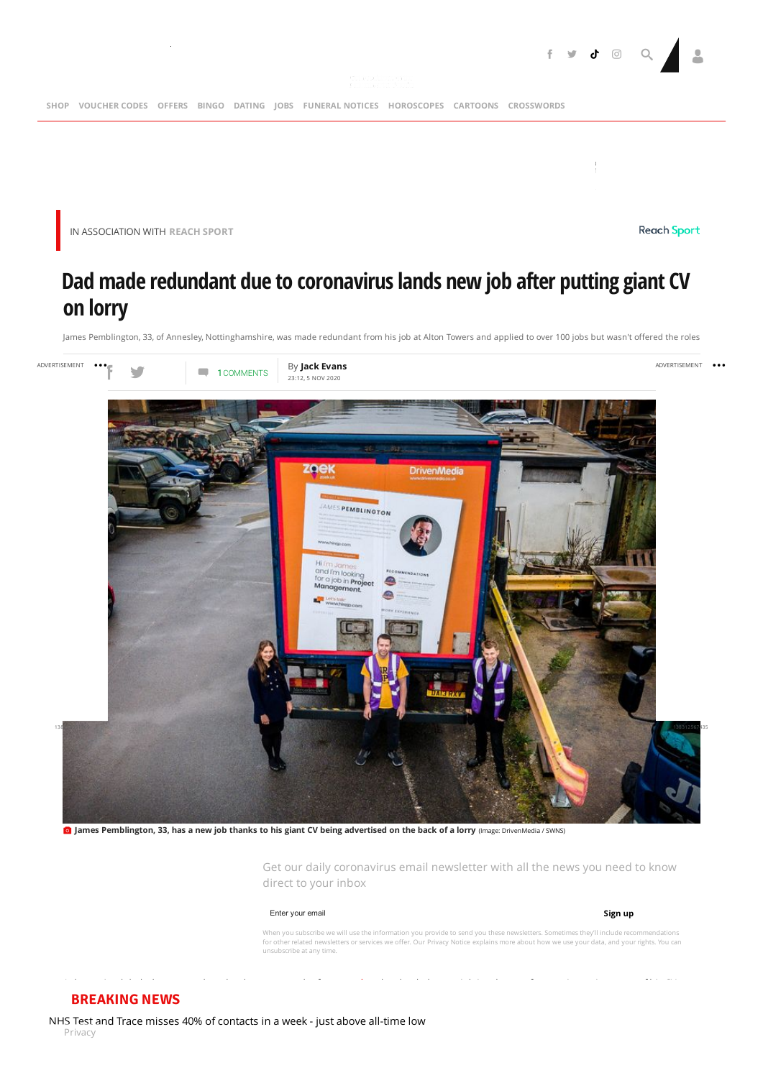

IN [ASSOCIATION](https://adclick.g.doubleclick.net/pcs/click?xai=AKAOjsvtlgLG_6rqa6ZdFPVQZxG0HwGzxYnOFnjabAYcUpOZCi--8YdyZn6FDBHCCGnDHnz4dbe6zU7bX1Lgd75LPiCsbMqzXvwcBMD3cp5tpwVmZd33jA-tAkBEw-_Gog52LH5CruC83O7hd6DW59jDeop0UOcKbchNZ9Ym0_kEeti8XPdj3UREQ2Kj0Pkh_FPHxaFeVl3C-kcz33HbZQkwyPyI_cpAut2uajde4mKSUd1lXg-UmgePRQ4_m373xTZLPKGQ25k0N-cb9D__NiI&sai=AMfl-YSmL4QdmgxX8dOtW6e49amQ9bSLTTks_5RSKf-arO_eMAapBmftzBUxtMJ4QczjYZ9WMfgF_0ZG72p-onO8CzpVLQ&sig=Cg0ArKJSzBrc_QGEWWm0EAE&urlfix=1&adurl=https://reachsportshop.com/books/) WITH **REACH SPORT**

### **Reach Sport**

# **Dad made redundant due to coronaviruslands new job after putting giant CV on lorry**

James Pemblington, 33, of Annesley, Nottinghamshire, was made redundant from his job at Alton Towers and applied to over 100 jobs but wasn't offered the roles



James Pemblington, 33, has a new job thanks to his giant CV being advertised on the back of a lorry (Image: DrivenMedia / SWNS)

Get our daily coronavirus email newsletter with all the news you need to know direct to your inbox

### Enter your email

### **Sign up**

When you subscribe we will use the information you provide to send you these newsletters. Sometimes they'll include recommendations<br>for other related newsletters or services we offer. Our [Privacy](https://www.mirror.co.uk/privacy-notice/) Notice explains more about unsubscribe at any time.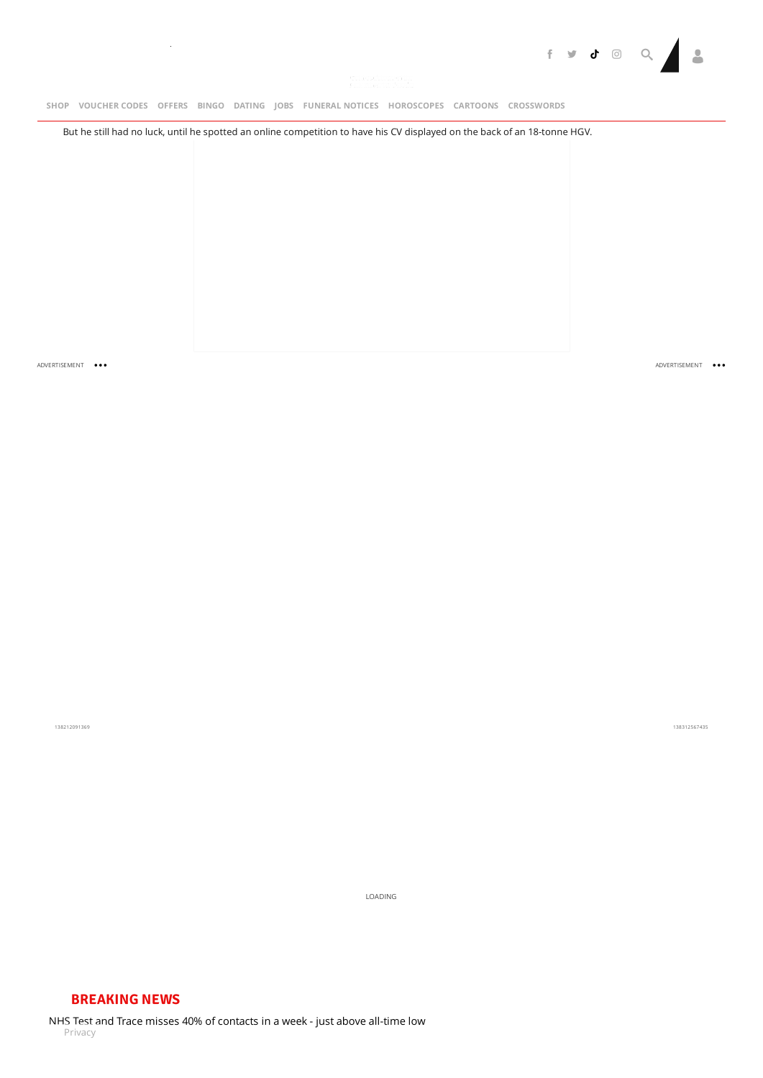

[SHOP](https://shop.mirror.co.uk/) VOUCHER-CODES [OFFERS](https://www.mirror.co.uk/offers/) BINGO [DATING](http://www.mirrordating.co.uk/) JOBS [FUNERAL](https://funeral-notices.co.uk/)-NOTICES [HOROSCOPES](https://www.mirror.co.uk/lifestyle/horoscopes/) [CARTOONS](https://www.mirror.co.uk/lifestyle/cartoons/) [CROSSWORDS](http://games.mirror.co.uk/category/crossword)

But he still had no luck, until he spotted an online competition to have his CV displayed on the back of an 18-tonne HGV.

ADVERTISEMENT ...

ADVERTISEMENT

138212091369

138312567435

LOADING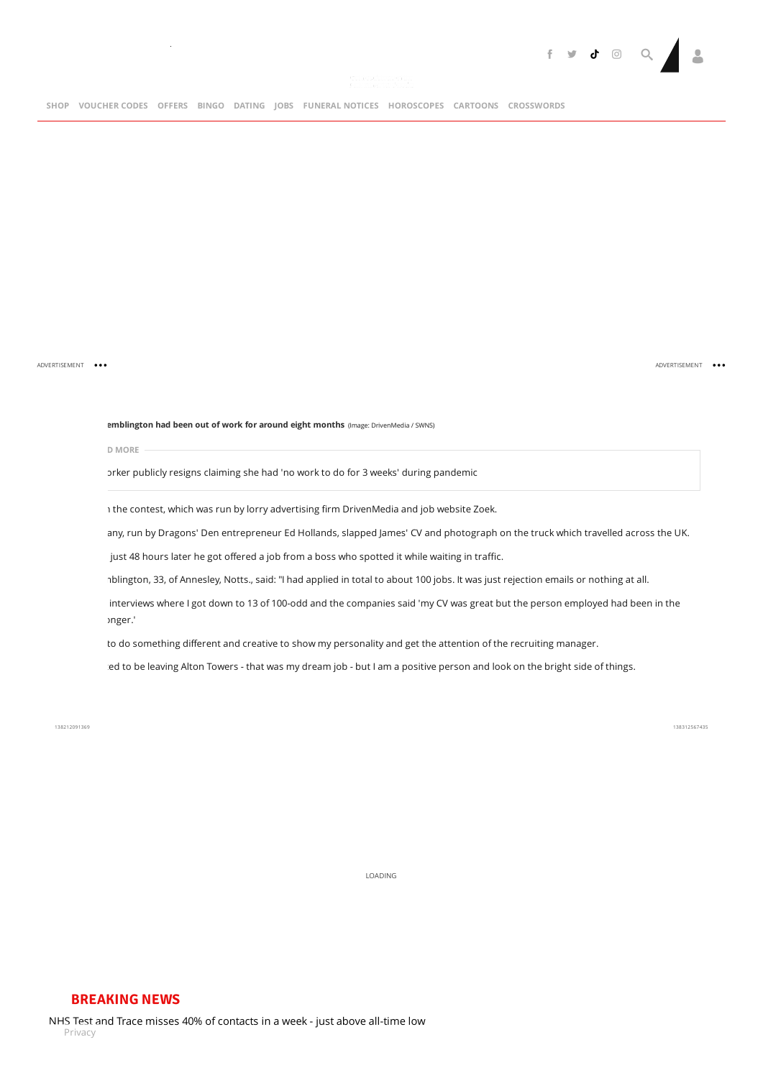

ADVERTISEMENT ...

ADVERTISEMENT ...

### **James Pemblington had been out of work for around eight months** (Image: DrivenMedia / SWNS)

**READ MORE**

 $\bar{a}$ 

orker publicly resigns claiming she had 'no work to do for 3 weeks' during [pandemic](https://www.mirror.co.uk/news/uk-news/nhs-worker-publicly-resigns-claiming-22965504)

1 the contest, which was run by lorry advertising firm DrivenMedia and job website Zoek.

any, run by Dragons' Den entrepreneur Ed Hollands, slapped James' CV and photograph on the truck which travelled across the UK.

just 48 hours later he got offered a job from a boss who spotted it while waiting in traffic.

nblington, 33, of Annesley, Notts., said: "I had applied in total to about 100 jobs. It was just rejection emails or nothing at all.

interviews where I got down to 13 of 100-odd and the companies said 'my CV was great but the person employed had been in the industry longer.'

to do something different and creative to show my personality and get the attention of the recruiting manager.

red to be leaving Alton Towers - that was my dream job - but I am a positive person and look on the bright side of things.

138212091369

138312567435

LOADING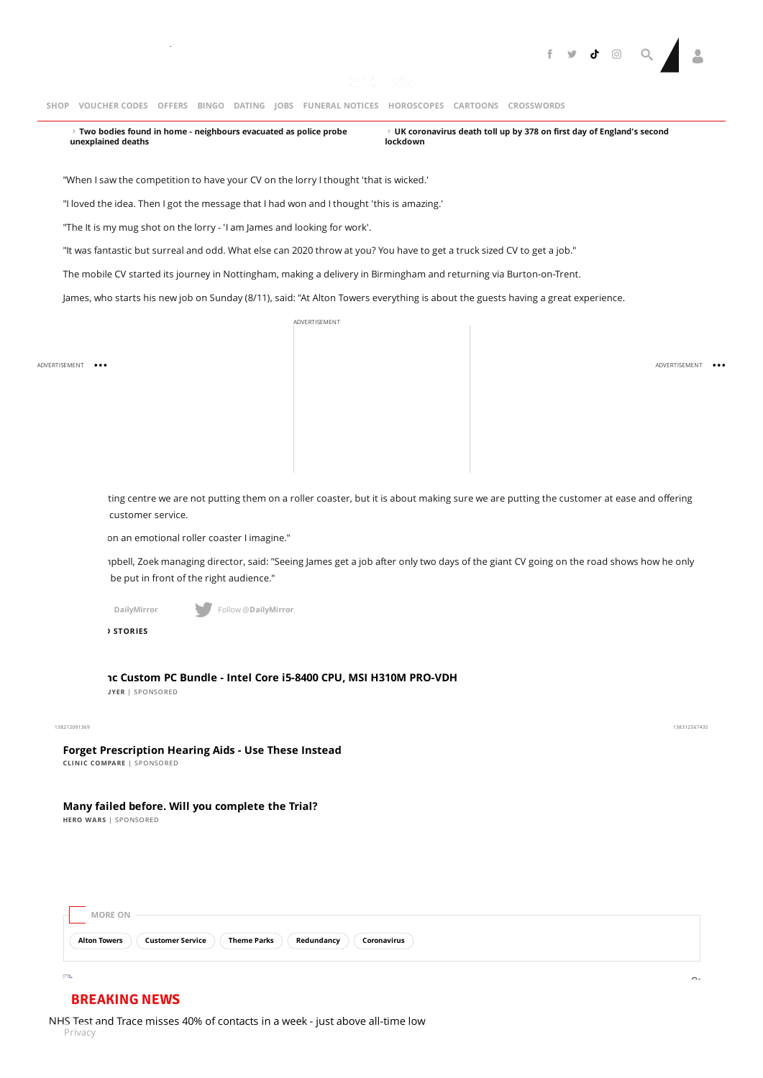

**Two bodies found in home - neighbours evacuated as police probe [unexplained](https://www.mirror.co.uk/news/uk-news/breaking-two-bodies-found-home-22964095) deaths**  $\rightarrow$  Two bodies found in home - neighbours evacuated as police probe  $\rightarrow$  UK [coronavirus](https://www.mirror.co.uk/news/uk-news/breaking-uk-coronavirus-deaths-jump-22963795) death toll up by 378 on first day of England's second **lockdown**

"When I saw the competition to have your CV on the lorry I thought 'that is wicked.'

"I loved the idea. Then I got the message that I had won and I thought 'this is amazing.'

"The It is my mug shot on the lorry - 'I am James and looking for work'.

"It was fantastic but surreal and odd. What else can 2020 throw at you? You have to get a truck sized CV to get a job."

The mobile CV started its journey in Nottingham, making a delivery in Birmingham and returning via Burton-on-Trent.

James, who starts his new job on Sunday (8/11), said: "At Alton Towers everything is about the guests having a great experience.

ADVERTISEMENT

ADVERTISEMENT ...

ADVERTISEMENT ...

ting centre we are not putting them on a roller coaster, but it is about making sure we are putting the customer at ease and offering customer service.

on an emotional roller coaster I imagine."

apbell, Zoek managing director, said: "Seeing James get a job after only two days of the giant CV going on the road shows how he only be put in front of the right audience."

**DailyMirror Follow @DailyMirror** 

**PROMOTED STORIES**

**£249.99 - EBUYER** | [SPONSORED](https://popup.taboola.com/en/?template=colorbox&utm_source=tmg-mirror&utm_medium=referral&utm_content=thumbnails-feed:Below%20Article%20Thumbnails%20Responsive%20Feed%20|%20Card%201:) **[AlphaSync](https://cat.nl.eu.criteo.com/delivery/ckn.php?cppv=3&cpp=03g3vZpMTgL3N9WwpuxABf4L6CD7VJyaKODI33F_a1AVODKCa78xvyfMPeeilpEyt7s3Pw4HQU-EpBgjo3Osswj8LGn0ks1gHf6NZxs6L9BZCR5PASG7YGkgQLqlQtqVKioEd6nOy5ufAj7VZzWPvIznjXnG5ihlWQyLKFSA89KZw8MJsGaW9MZtpiuTshAN4cY_Q0GffUmAPr-FmM309u3yG53MWg8smaMUUcpeOyS1sGM38RjXaK53tE6E8S8sL7zQhCoYuTeaZK2HDne8_eItK7RmAWibsohLGTwnIoT_U3D6RWnJqkBu5moLV3DS9SSEMbw21jNdbkswg0vf22PlgA2uidCiWlUzqkzwERehHTlwfPk_iCIL1v2Rgx3oSna7Uw&maxdest=https%3A%2F%2Fwww.ebuyer.com%2F982199-alphasync-core-i5-8th-gen-h310m-pro-vdh-plus-8gb-ram-custom-pc-as-b006%3Futm_source%3Dcriteo%26utm_medium%3Ddisplay%26utm_campaign%3DWebConversion&tblci=GiAN4vG3AKsH7_D9ghuLWtCeSZDFPxMMjcM6vIoiDog5xiDwjE4#tblciGiAN4vG3AKsH7_D9ghuLWtCeSZDFPxMMjcM6vIoiDog5xiDwjE4) Custom PC Bundle - Intel Core i5-8400 CPU, MSI H310M PRO-VDH**

### 138212091369

 $\blacksquare$ 

**CLINIC COMPARE** | [SPONSORED](https://popup.taboola.com/en/?template=colorbox&utm_source=tmg-mirror&utm_medium=referral&utm_content=thumbnails-feed-a:Below%20Article%20Thumbnails%20Responsive%20Feed%20|%20Card%202:) **Forget [Prescription](https://treatments.cliniccompare.co.uk/invisible-hearing-aids-sweep-the-uk?utm_campaign=6401228&utm_content=2930384534&cid=577532e1361f8&utm_source=taboola&utm_medium=tmg-mirror&campaign=HA-UK-CC-1-WL-D&platform=Desktop&utm_term=Forget+Prescription+Hearing+Aids+-+Use+These+Instead&content=http%3A%2F%2Fcdn.taboola.com%2Flibtrc%2Fstatic%2Fthumbnails%2Fe9e4923555cd5a9192734de86dc01a66.png&network=tmg-mirror&title=Forget+Prescription+Hearing+Aids+-+Use+These+Instead&click-id=GiAN4vG3AKsH7_D9ghuLWtCeSZDFPxMMjcM6vIoiDog5xiCqs0A#tblciGiAN4vG3AKsH7_D9ghuLWtCeSZDFPxMMjcM6vIoiDog5xiCqs0A) Hearing Aids - Use These Instead**

**Many failed before. Will you [complete](https://hero-wars.com/?hl=en&l=loot&l=loot&m=registration&nx_source=adx_taboola.hw_wb_u5_-.cc-gb.au-mix5_vid.cr-pins13_vid.lp-loot.dt-taboola.cid-6303207.agid-2928536156.pt-1039208.csd-170920.-&tblci=GiAN4vG3AKsH7_D9ghuLWtCeSZDFPxMMjcM6vIoiDog5xiDlwUc#tblciGiAN4vG3AKsH7_D9ghuLWtCeSZDFPxMMjcM6vIoiDog5xiDlwUc) the Trial?**

**HERO WARS** | [SPONSORED](https://popup.taboola.com/en/?template=colorbox&utm_source=tmg-mirror&utm_medium=referral&utm_content=thumbnails-feed-a:Below%20Article%20Thumbnails%20Responsive%20Feed%20|%20Card%202:)

<span id="page-3-0"></span>

### **[BREAKING](https://www.mirror.co.uk/news/politics/nhs-test-trace-misses-40-23071252#source=breaking-news) NEWS**

NHS Test and Trace misses 40% of contacts in a week - just above all-time low Privacy

138312567435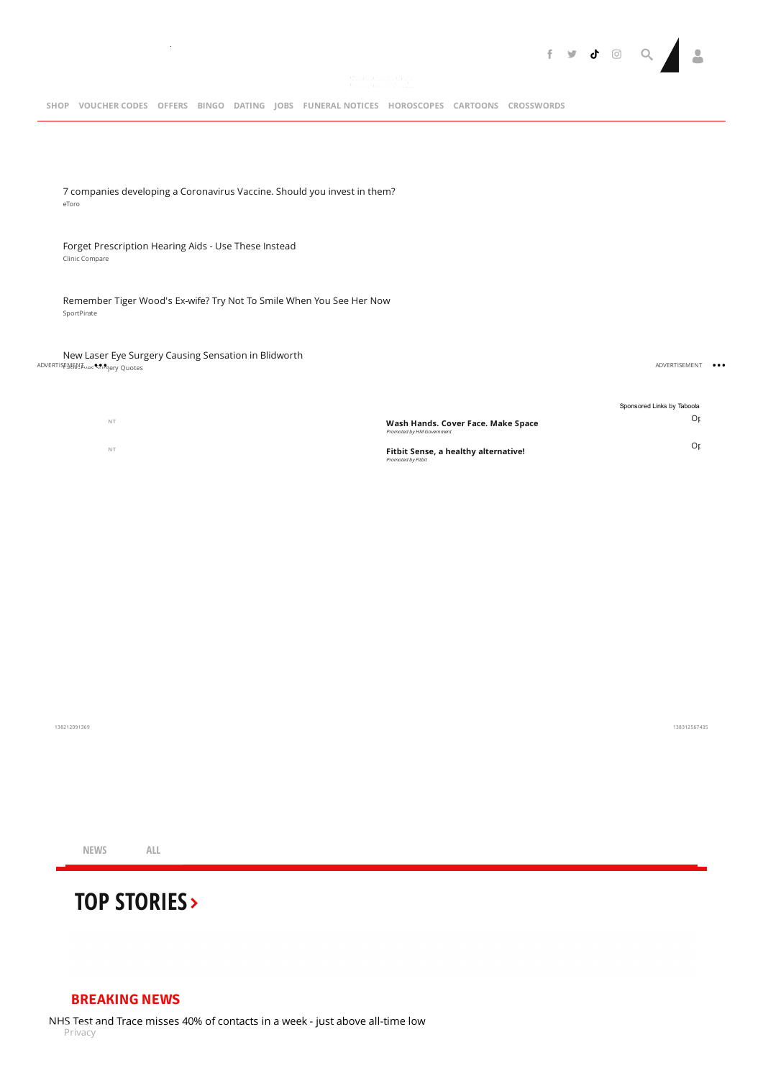

eToro 7 companies developing a [Coronavirus](https://partners.etoro.com/aw.aspx?A=45729&Task=Click&SubAffiliateID=Coronavaccine_UK_Taboola_AFFID_45729_&TargetURL=https://www.etoro.com/news-and-analysis/market-insights/5-companies-developing-a-coronavirus-vaccine-which-one-will-be-the-first-to-market/&utm_source=taboola&utm_medium=referral&tblci=GiAN4vG3AKsH7_D9ghuLWtCeSZDFPxMMjcM6vIoiDog5xiCY_Eg#tblciGiAN4vG3AKsH7_D9ghuLWtCeSZDFPxMMjcM6vIoiDog5xiCY_Eg) Vaccine. Should you invest in them?

### Clinic Compare Forget [Prescription](https://treatments.cliniccompare.co.uk/invisible-hearing-aids-sweep-the-uk?utm_campaign=6401228&utm_content=2930384534&cid=577532e1361f8&utm_source=taboola&utm_medium=tmg-mirror&campaign=HA-UK-CC-1-WL-D&platform=Desktop&utm_term=Forget+Prescription+Hearing+Aids+-+Use+These+Instead&content=http%3A%2F%2Fcdn.taboola.com%2Flibtrc%2Fstatic%2Fthumbnails%2Fe9e4923555cd5a9192734de86dc01a66.png&network=tmg-mirror&title=Forget+Prescription+Hearing+Aids+-+Use+These+Instead&click-id=GiAN4vG3AKsH7_D9ghuLWtCeSZDFPxMMjcM6vIoiDog5xiCqs0A#tblciGiAN4vG3AKsH7_D9ghuLWtCeSZDFPxMMjcM6vIoiDog5xiCqs0A) Hearing Aids - Use These Instead

 $\sim$ 

SportPirate [Remember](http://sportpirate.com/trending/40-celebs-who-have-only-gotten-better-with-age?utm_source=taboola&utm_medium=tmg-mirror&utm_campaign=7243580&utm_term=Remember+Tiger+Wood%27s+Ex-wife%3F+Try+Not+To+Smile+When+You+See+Her+Now&utm_content=http%3A%2F%2Fcdn.taboola.com%2Flibtrc%2Fstatic%2Fthumbnails%2F7a1f9d085c1888ad777db3a07010c197.jpg) Tiger Wood's Ex-wife? Try Not To Smile When You See Her Now

ADVERTISEMENT…er Chryery Quotes New Laser Eye Surgery Causing [Sensation](https://laser.lasik-eyes.co.uk/pioneering-laser-eye-surgery?utm_campaign=2134389&utm_content=243479188&cid=5cbf148eb186d&utm_source=taboola&utm_medium=tmg-mirror&campaign=LE-UK-LAS-2-D&platform=Desktop&utm_term=New+Laser+Eye+Surgery+Causing+Sensation+in+Blidworth&content=https%3A%2F%2Fconsole.brax-cdn.com%2Fcreatives%2F44dd7285-cd6a-4a0f-9085-8137587509a3%2FCopy_of_LELasik2_1000x600_b1e448d598aa8621718ad2af87aac1b3.png&network=tmg-mirror&title=New+Laser+Eye+Surgery+Causing+Sensation+in+Blidworth&click-id=GiAN4vG3AKsH7_D9ghuLWtCeSZDFPxMMjcM6vIoiDog5xiCXq0A#tblciGiAN4vG3AKsH7_D9ghuLWtCeSZDFPxMMjcM6vIoiDog5xiCXq0A) in Blidworth

ADVERTISEMENT ...

|           |                                                                 | Sponsored Links by Taboola |
|-----------|-----------------------------------------------------------------|----------------------------|
| <b>NT</b> | Wash Hands. Cover Face. Make Space<br>Promoted by HM Government | Οr                         |
| <b>NT</b> | Fitbit Sense, a healthy alternative!<br>Promoted by Fitbit      | 0r)                        |

138212091369

138312567435

**NEWS ALL**

# **TOP [STORIES](https://www.mirror.co.uk/)**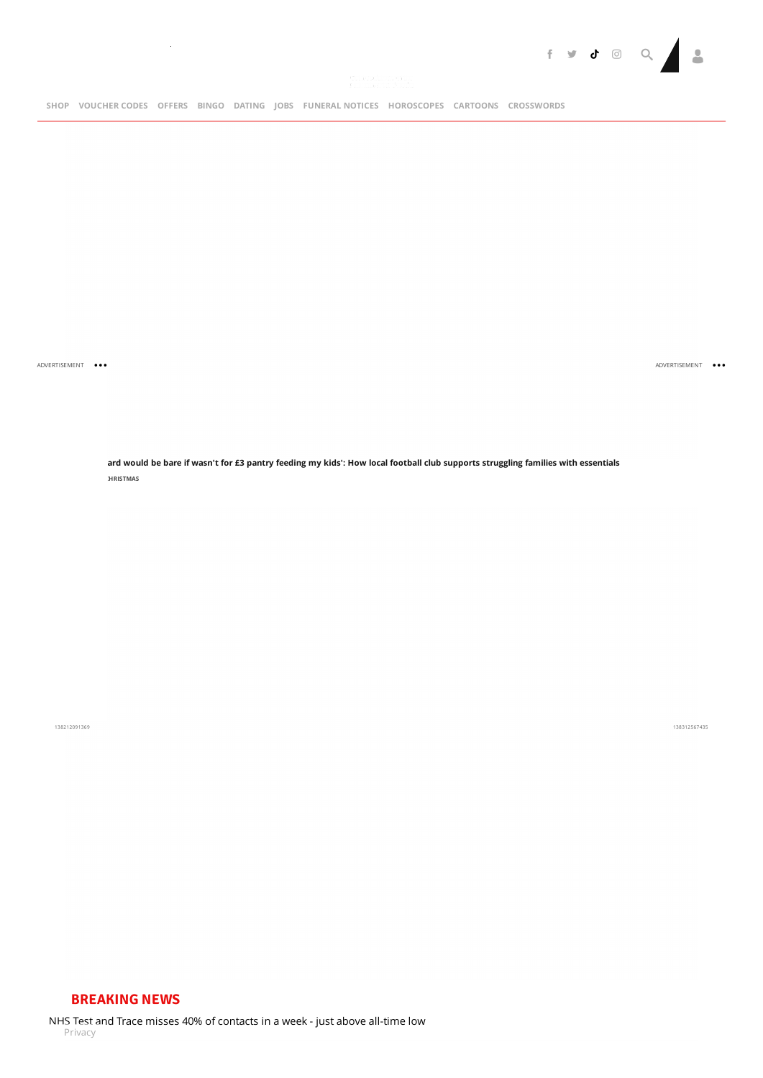

 $\sim$ 

ADVERTISEMENT ...

ADVERTISEMENT ...

ard would be bare if wasn't for £3 pantry feeding my kids': How local football club supports [struggling](https://www.mirror.co.uk/news/uk-news/my-cupboard-would-bare-wasnt-23067819) families with essentials **SAVE A KID'S [CHRISTMAS](https://www.mirror.co.uk/all-about/save-a-kids-christmas)**

138212091369

138312567435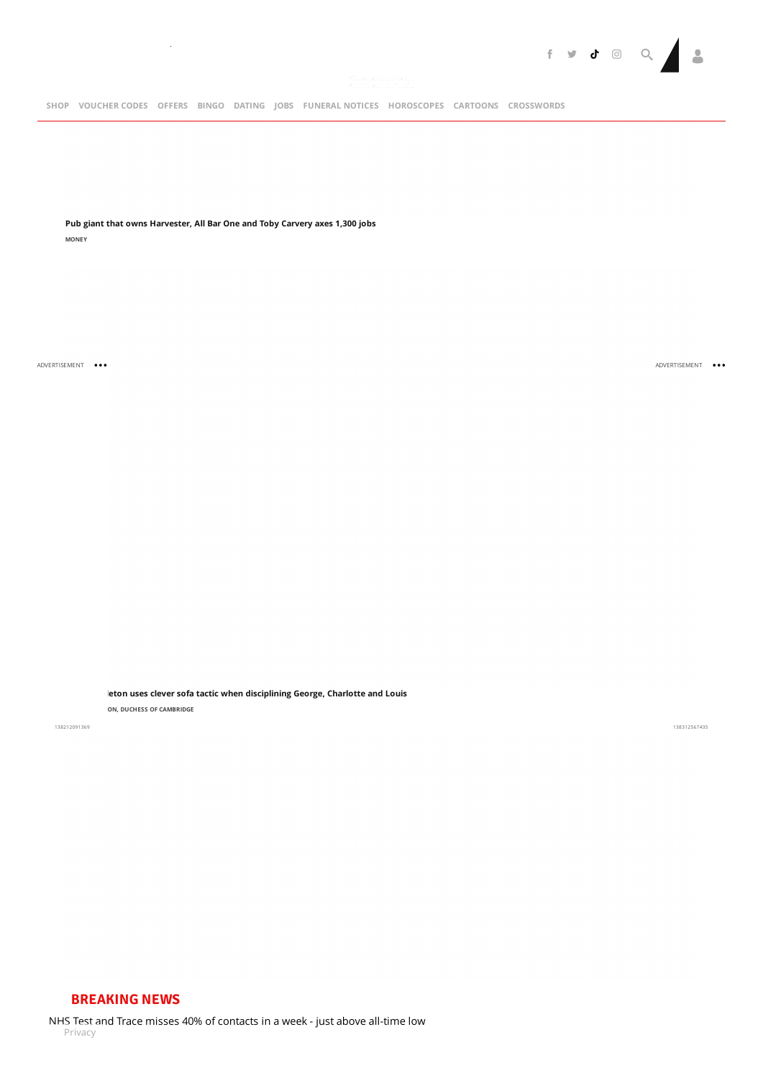

**Pub giant that owns [Harvester,](https://www.mirror.co.uk/money/harvester-bar-one-toby-carvery-23071274) All Bar One and Toby Carvery axes 1,300 jobs**

 $\sim$ 

**[MONEY](https://www.mirror.co.uk/money/)**

ADVERTISEMENT ...

[ADVERTISEMEN](https://www.mirror.co.uk/news/uk-news/kate-middleton-uses-clever-sofa-23042171)T

**Kate Middleton uses clever sofa tactic when [disciplining](https://www.mirror.co.uk/news/uk-news/kate-middleton-uses-clever-sofa-23042171) George, Charlotte and Louis**

**KATE [MIDDLETON,](https://www.mirror.co.uk/all-about/kate-middleton-duchess-of-cambridge) DUCHESS OF CAMBRIDGE**

138212091369

138312567435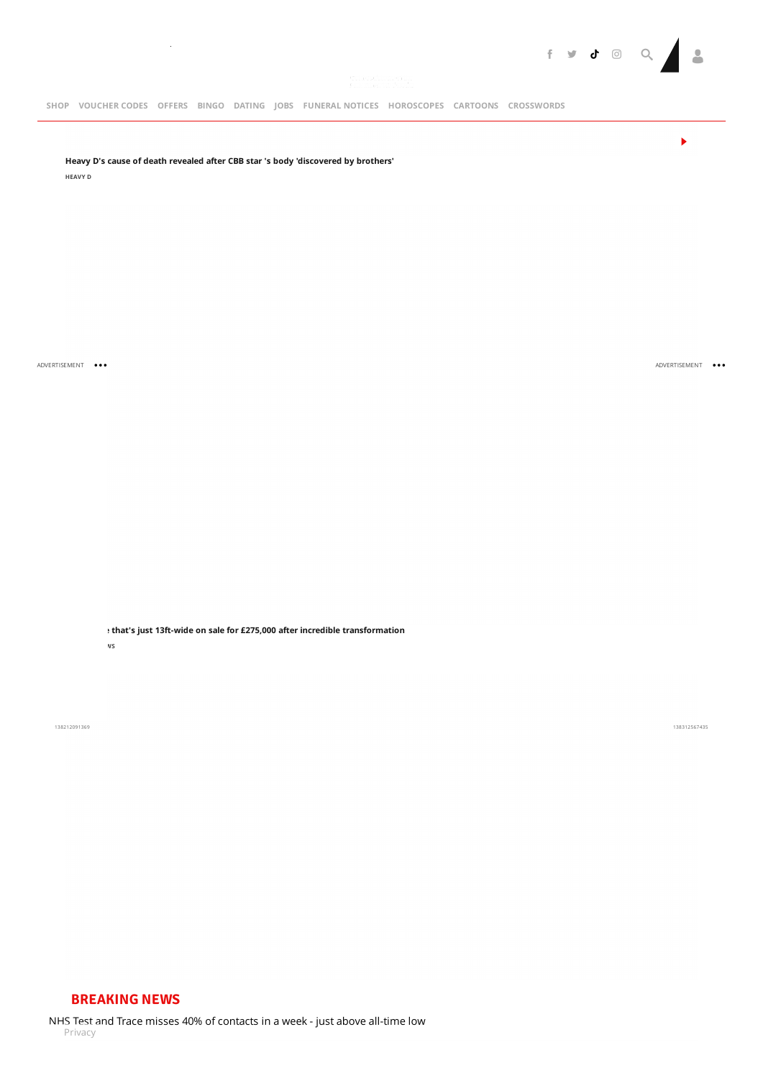

**Heavy D's cause of death revealed after CBB star 's body ['discovered](https://www.mirror.co.uk/3am/celebrity-news/heavy-ds-cause-death-after-23071398) by brothers'**

 $\sim$ 

**[HEAVY](https://www.mirror.co.uk/all-about/heavy-d) D**

ADVERTISEMENT ...

**Tiny house that's just 13ft-wide on sale for £275,000 after incredible [transformation](https://www.mirror.co.uk/news/uk-news/tiny-house-thats-just-13ft-23068801)**

**[PROPERTY](https://www.mirror.co.uk/all-about/property-news) NEWS**

138212091369

138312567435

[ADVERTISEMEN](https://www.mirror.co.uk/news/uk-news/tiny-house-thats-just-13ft-23068801)T ...

 $\blacktriangleright$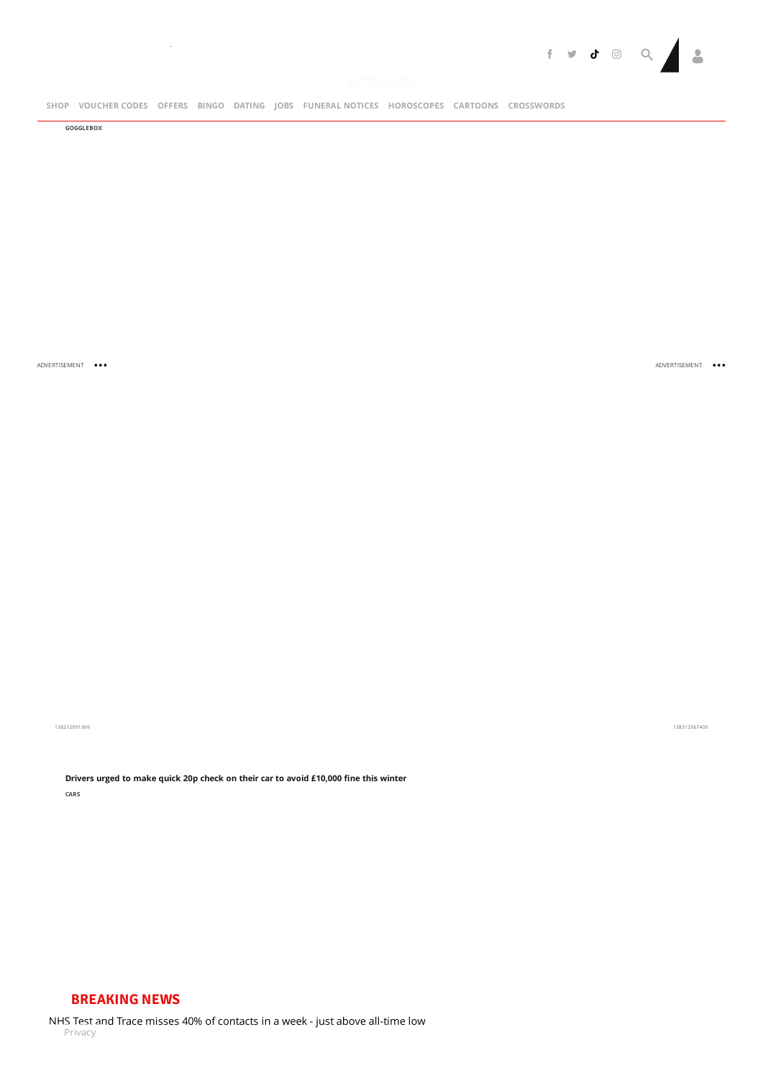

[SHOP](https://shop.mirror.co.uk/) [VOUCHER](https://discountcode.mirror.co.uk/)CODES [OFFERS](https://www.mirror.co.uk/offers/) [BINGO](https://www.mirrorbingo.com/?utm_medium=site&utm_source=mirror&utm_campaign=partner-bar&utm_content=partner-bar) [DATING](http://www.mirrordating.co.uk/) [JOBS](https://www.fish4.co.uk/?utm_source=tm-mirror&utm_medium=referral&utm_campaign=navlink) [FUNERAL](https://funeral-notices.co.uk/)NOTICES [HOROSCOPES](https://www.mirror.co.uk/lifestyle/horoscopes/) [CARTOONS](https://www.mirror.co.uk/lifestyle/cartoons/) [CROSSWORDS](http://games.mirror.co.uk/category/crossword)

**[GOGGLEBOX](https://www.mirror.co.uk/all-about/gogglebox)**

 $\sim$ 

ADVERTISEMENT ...

[ADVERTISEMEN](https://www.mirror.co.uk/money/drivers-urged-make-quick-20p-23071576)T

138212091369

138312567435

**Drivers urged to make quick 20p check on their car to avoid [£10,000](https://www.mirror.co.uk/money/drivers-urged-make-quick-20p-23071576) fine this winter [CARS](https://www.mirror.co.uk/all-about/cars)**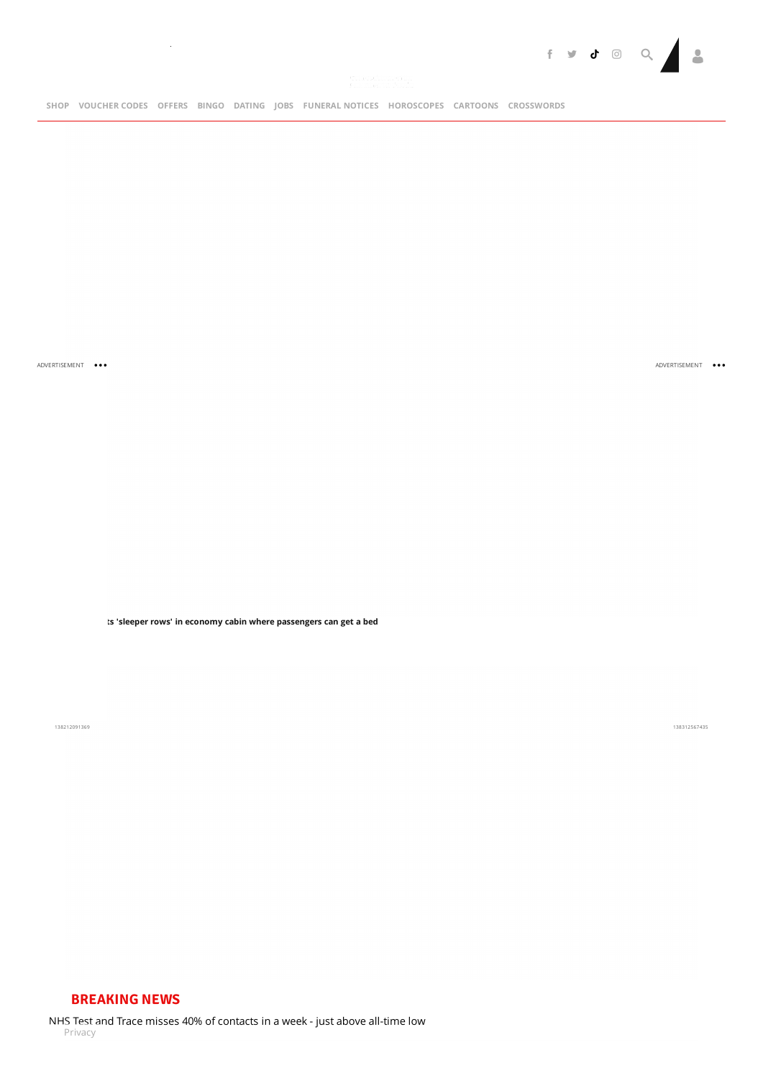ADVERTISEMENT ...

**Airline tests 'sleeper rows' in economy cabin where [passengers](https://www.mirror.co.uk/travel/news/lufthansa-trials-sleeper-rows-economy-23071932) can get a bed**

138212091369

**[SHOP](https://shop.mirror.co.uk/) [VOUCHER](https://discountcode.mirror.co.uk/) CODES [OFFERS](https://www.mirror.co.uk/offers/) [BINGO](https://www.mirrorbingo.com/?utm_medium=site&utm_source=mirror&utm_campaign=partner-bar&utm_content=partner-bar) [DATING](http://www.mirrordating.co.uk/) [JOBS](https://www.fish4.co.uk/?utm_source=tm-mirror&utm_medium=referral&utm_campaign=navlink) [FUNERAL](https://funeral-notices.co.uk/) NOTICES [HOROSCOPES](https://www.mirror.co.uk/lifestyle/horoscopes/) [CARTOONS](https://www.mirror.co.uk/lifestyle/cartoons/) [CROSSWORDS](https://www.mirror.co.uk/travel/news/lufthansa-trials-sleeper-rows-economy-23071932)**

 $\sim 10^6$ 



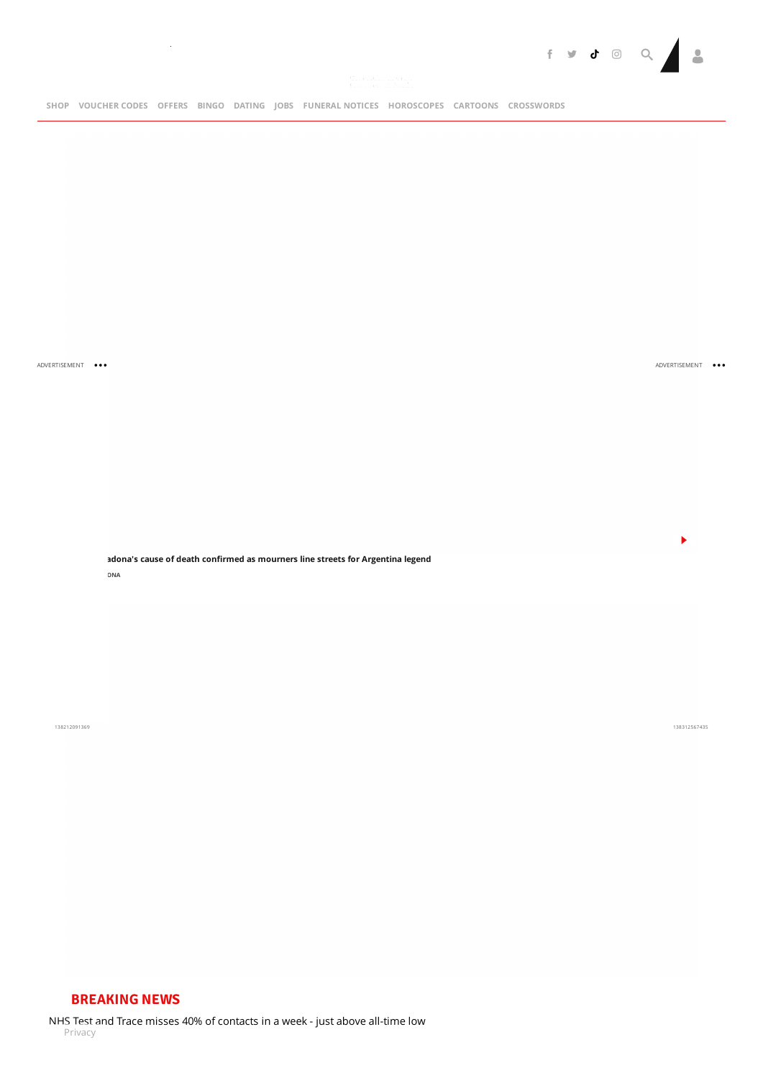

 $\sim$   $\sim$ 

ADVERTISEMENT ...

[ADVERTISEMEN](https://www.mirror.co.uk/sport/football/maradona-cause-of-death-heart-23071143)T

 $\blacktriangleright$ 

**Diego [Maradona's](https://www.mirror.co.uk/sport/football/maradona-cause-of-death-heart-23071143) cause of death confirmed as mourners line streets for Argentina legend DIEGO [MARADONA](https://www.mirror.co.uk/all-about/diego-maradona)**

138212091369

138312567435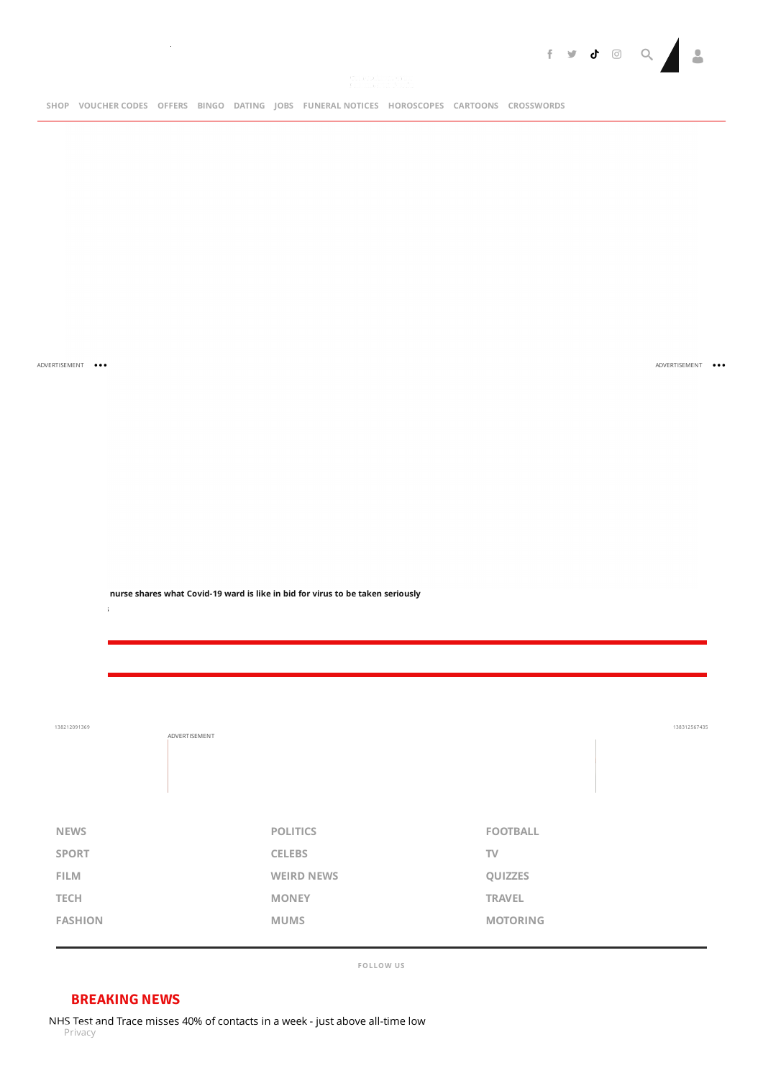

 $\sim 10^{-1}$ 

ADVERTISEMENT ...

**[CORONAVIRUS](https://www.mirror.co.uk/all-about/coronavirus-1)** 

ADVERTISEMENT ...

**[Exhausted](https://www.mirror.co.uk/news/uk-news/exhausted-nurse-shares-what-covid-23071165) nurse shares what Covid-19 ward is like in bid for virus to be taken seriously**

| 138212091369   | ADVERTISEMENT |                   |                 | 138312567435 |
|----------------|---------------|-------------------|-----------------|--------------|
|                |               |                   |                 |              |
|                |               |                   |                 |              |
|                |               |                   |                 |              |
| <b>NEWS</b>    |               | <b>POLITICS</b>   | <b>FOOTBALL</b> |              |
| <b>SPORT</b>   |               | <b>CELEBS</b>     | TV              |              |
| FILM           |               | <b>WEIRD NEWS</b> | QUIZZES         |              |
| <b>TECH</b>    |               | <b>MONEY</b>      | <b>TRAVEL</b>   |              |
| <b>FASHION</b> |               | <b>MUMS</b>       | <b>MOTORING</b> |              |

**FOLLOW US**